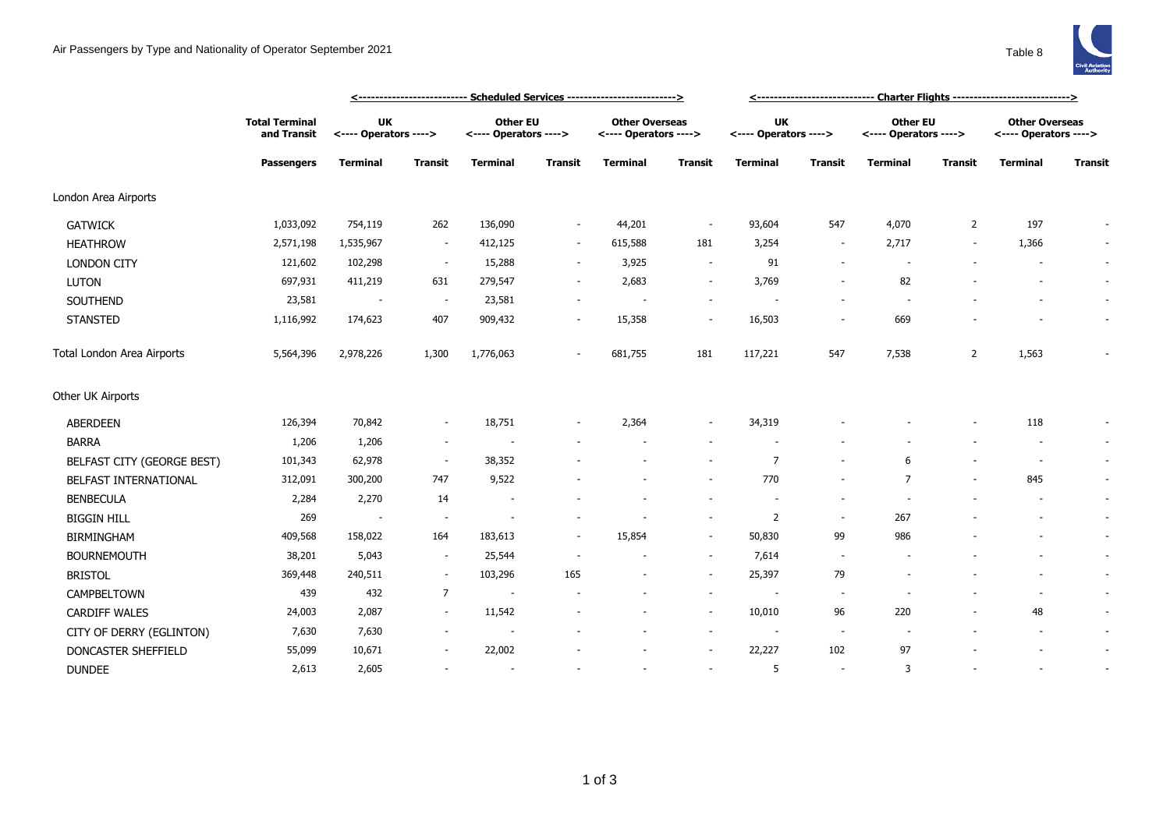## Air Passengers by Type and Nationality of Operator September 2021 Table 8



|                            |                                                           |                                    | <--------------------------- Scheduled Services ------------------------->> |                                          | <------------------------------ Charter Flights ----------------------------> |                                                |                          |                                    |                          |                                   |                |                                                |                |
|----------------------------|-----------------------------------------------------------|------------------------------------|-----------------------------------------------------------------------------|------------------------------------------|-------------------------------------------------------------------------------|------------------------------------------------|--------------------------|------------------------------------|--------------------------|-----------------------------------|----------------|------------------------------------------------|----------------|
|                            | <b>Total Terminal</b><br>and Transit<br><b>Passengers</b> | <b>UK</b><br><---- Operators ----> |                                                                             | <b>Other EU</b><br><---- Operators ----> |                                                                               | <b>Other Overseas</b><br><---- Operators ----> |                          | <b>UK</b><br><---- Operators ----> |                          | Other EU<br><---- Operators ----> |                | <b>Other Overseas</b><br><---- Operators ----> |                |
|                            |                                                           | <b>Terminal</b>                    | Transit                                                                     | <b>Terminal</b>                          | <b>Transit</b>                                                                | <b>Terminal</b>                                | <b>Transit</b>           | <b>Terminal</b>                    | <b>Transit</b>           | <b>Terminal</b>                   | Transit        | <b>Terminal</b>                                | <b>Transit</b> |
| London Area Airports       |                                                           |                                    |                                                                             |                                          |                                                                               |                                                |                          |                                    |                          |                                   |                |                                                |                |
| <b>GATWICK</b>             | 1,033,092                                                 | 754,119                            | 262                                                                         | 136,090                                  | $\overline{\phantom{a}}$                                                      | 44,201                                         | $\overline{\phantom{a}}$ | 93,604                             | 547                      | 4,070                             | $\overline{2}$ | 197                                            |                |
| <b>HEATHROW</b>            | 2,571,198                                                 | 1,535,967                          | $\sim$                                                                      | 412,125                                  | $\sim$                                                                        | 615,588                                        | 181                      | 3,254                              | $\overline{\phantom{a}}$ | 2,717                             |                | 1,366                                          | $\sim$         |
| <b>LONDON CITY</b>         | 121,602                                                   | 102,298                            | $\sim$                                                                      | 15,288                                   | $\sim$                                                                        | 3,925                                          | $\overline{\phantom{a}}$ | 91                                 | ٠                        |                                   |                |                                                | $\sim$         |
| <b>LUTON</b>               | 697,931                                                   | 411,219                            | 631                                                                         | 279,547                                  | $\overline{\phantom{a}}$                                                      | 2,683                                          | $\overline{\phantom{a}}$ | 3,769                              |                          | 82                                |                |                                                | $\sim$         |
| SOUTHEND                   | 23,581                                                    | $\sim$                             | $\sim$                                                                      | 23,581                                   |                                                                               |                                                | $\overline{\phantom{a}}$ |                                    |                          |                                   |                |                                                | $\sim$         |
| <b>STANSTED</b>            | 1,116,992                                                 | 174,623                            | 407                                                                         | 909,432                                  | $\sim$                                                                        | 15,358                                         | $\overline{\phantom{a}}$ | 16,503                             | $\overline{\phantom{a}}$ | 669                               |                |                                                | $\sim$         |
| Total London Area Airports | 5,564,396                                                 | 2,978,226                          | 1,300                                                                       | 1,776,063                                | $\overline{\phantom{a}}$                                                      | 681,755                                        | 181                      | 117,221                            | 547                      | 7,538                             | $\overline{2}$ | 1,563                                          | $\sim$         |
| Other UK Airports          |                                                           |                                    |                                                                             |                                          |                                                                               |                                                |                          |                                    |                          |                                   |                |                                                |                |
| <b>ABERDEEN</b>            | 126,394                                                   | 70,842                             | $\overline{\phantom{a}}$                                                    | 18,751                                   |                                                                               | 2,364                                          | $\overline{\phantom{a}}$ | 34,319                             |                          |                                   |                | 118                                            |                |
| <b>BARRA</b>               | 1,206                                                     | 1,206                              | $\sim$                                                                      |                                          |                                                                               |                                                | $\overline{\phantom{a}}$ |                                    |                          |                                   |                |                                                | $\sim$         |
| BELFAST CITY (GEORGE BEST) | 101,343                                                   | 62,978                             | $\sim$                                                                      | 38,352                                   |                                                                               |                                                |                          | $\overline{7}$                     |                          | 6                                 |                |                                                | $\sim$         |
| BELFAST INTERNATIONAL      | 312,091                                                   | 300,200                            | 747                                                                         | 9,522                                    |                                                                               |                                                |                          | 770                                |                          | 7                                 |                | 845                                            | $\sim$         |
| <b>BENBECULA</b>           | 2,284                                                     | 2,270                              | 14                                                                          |                                          |                                                                               |                                                |                          |                                    | $\overline{\phantom{a}}$ |                                   |                |                                                | $\sim$         |
| <b>BIGGIN HILL</b>         | 269                                                       | $\overline{\phantom{a}}$           | $\sim$                                                                      |                                          |                                                                               |                                                | $\overline{\phantom{a}}$ | 2                                  | $\sim$                   | 267                               |                |                                                | $\sim$         |
| <b>BIRMINGHAM</b>          | 409,568                                                   | 158,022                            | 164                                                                         | 183,613                                  | $\overline{\phantom{a}}$                                                      | 15,854                                         | $\sim$                   | 50,830                             | 99                       | 986                               |                |                                                | $\sim$         |
| <b>BOURNEMOUTH</b>         | 38,201                                                    | 5,043                              | $\overline{\phantom{a}}$                                                    | 25,544                                   | $\overline{\phantom{a}}$                                                      |                                                | $\overline{\phantom{a}}$ | 7,614                              | $\overline{\phantom{a}}$ |                                   |                |                                                | $\sim$         |
| <b>BRISTOL</b>             | 369,448                                                   | 240,511                            | $\sim$                                                                      | 103,296                                  | 165                                                                           |                                                | $\sim$                   | 25,397                             | 79                       |                                   |                |                                                | $\sim$         |
| CAMPBELTOWN                | 439                                                       | 432                                | $\overline{7}$                                                              | $\overline{\phantom{a}}$                 |                                                                               |                                                | $\overline{\phantom{a}}$ |                                    | $\overline{\phantom{a}}$ |                                   |                |                                                | $\sim$         |
| <b>CARDIFF WALES</b>       | 24,003                                                    | 2,087                              |                                                                             | 11,542                                   |                                                                               |                                                | $\overline{\phantom{a}}$ | 10,010                             | 96                       | 220                               |                | 48                                             | $\sim$         |
| CITY OF DERRY (EGLINTON)   | 7,630                                                     | 7,630                              |                                                                             |                                          |                                                                               |                                                | $\overline{\phantom{a}}$ |                                    | $\overline{\phantom{a}}$ |                                   |                |                                                | $\sim$         |
| DONCASTER SHEFFIELD        | 55,099                                                    | 10,671                             |                                                                             | 22,002                                   |                                                                               |                                                | $\overline{\phantom{a}}$ | 22,227                             | 102                      | 97                                |                |                                                | $\sim$         |
| <b>DUNDEE</b>              | 2,613                                                     | 2,605                              |                                                                             | $\sim$                                   |                                                                               |                                                | $\overline{\phantom{a}}$ | 5                                  | $\overline{\phantom{a}}$ | 3                                 |                |                                                | $\sim$         |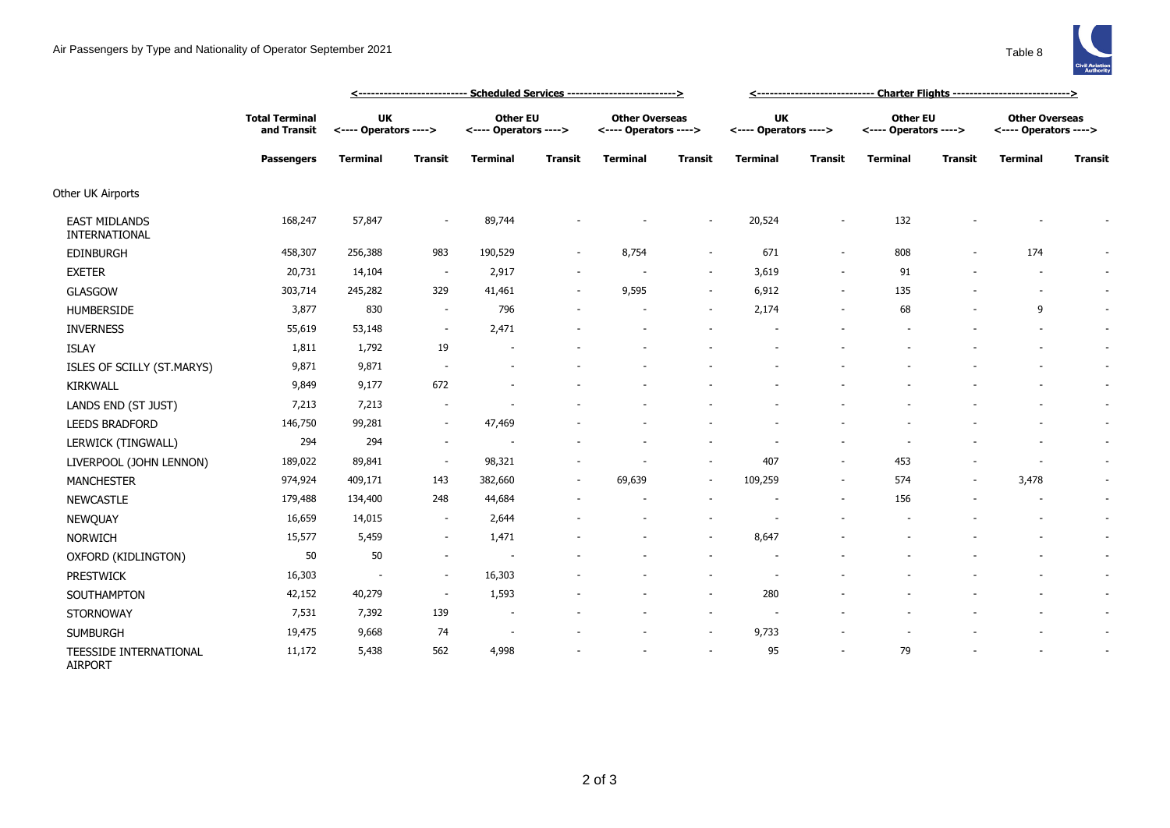

|                                       |                                                           | <u> &lt;--------------------------- Scheduled Services --------------------------&gt;</u> |                          |                                          |                |                                                |                          | <u>&lt;----------------------------- Charter Flights ----------------------------&gt;</u> |                          |                                   |         |                                                |                |
|---------------------------------------|-----------------------------------------------------------|-------------------------------------------------------------------------------------------|--------------------------|------------------------------------------|----------------|------------------------------------------------|--------------------------|-------------------------------------------------------------------------------------------|--------------------------|-----------------------------------|---------|------------------------------------------------|----------------|
|                                       | <b>Total Terminal</b><br>and Transit<br><b>Passengers</b> | <b>UK</b><br><---- Operators ---->                                                        |                          | <b>Other EU</b><br><---- Operators ----> |                | <b>Other Overseas</b><br><---- Operators ----> |                          | <b>UK</b><br><---- Operators ---->                                                        |                          | Other EU<br><---- Operators ----> |         | <b>Other Overseas</b><br><---- Operators ----> |                |
|                                       |                                                           | <b>Terminal</b>                                                                           | <b>Transit</b>           | <b>Terminal</b>                          | <b>Transit</b> | <b>Terminal</b>                                | <b>Transit</b>           | <b>Terminal</b>                                                                           | <b>Transit</b>           | <b>Terminal</b>                   | Transit | <b>Terminal</b>                                | <b>Transit</b> |
| Other UK Airports                     |                                                           |                                                                                           |                          |                                          |                |                                                |                          |                                                                                           |                          |                                   |         |                                                |                |
| <b>EAST MIDLANDS</b><br>INTERNATIONAL | 168,247                                                   | 57,847                                                                                    |                          | 89,744                                   |                |                                                | $\overline{a}$           | 20,524                                                                                    | ÷,                       | 132                               |         |                                                |                |
| <b>EDINBURGH</b>                      | 458,307                                                   | 256,388                                                                                   | 983                      | 190,529                                  |                | 8,754                                          | $\sim$                   | 671                                                                                       | $\overline{\phantom{a}}$ | 808                               |         | 174                                            |                |
| <b>EXETER</b>                         | 20,731                                                    | 14,104                                                                                    | $\sim$                   | 2,917                                    |                |                                                | $\sim$                   | 3,619                                                                                     | $\overline{\phantom{a}}$ | 91                                |         |                                                |                |
| GLASGOW                               | 303,714                                                   | 245,282                                                                                   | 329                      | 41,461                                   |                | 9,595                                          | $\sim$                   | 6,912                                                                                     | $\overline{\phantom{a}}$ | 135                               |         | $\sim$                                         |                |
| <b>HUMBERSIDE</b>                     | 3,877                                                     | 830                                                                                       | $\overline{\phantom{a}}$ | 796                                      |                |                                                | $\overline{\phantom{a}}$ | 2,174                                                                                     | $\overline{\phantom{a}}$ | 68                                |         | 9                                              |                |
| <b>INVERNESS</b>                      | 55,619                                                    | 53,148                                                                                    | $\sim$                   | 2,471                                    |                |                                                |                          |                                                                                           |                          |                                   |         |                                                | $\sim$         |
| <b>ISLAY</b>                          | 1,811                                                     | 1,792                                                                                     | 19                       |                                          |                |                                                |                          |                                                                                           |                          |                                   |         |                                                |                |
| ISLES OF SCILLY (ST.MARYS)            | 9,871                                                     | 9,871                                                                                     |                          |                                          |                |                                                |                          |                                                                                           |                          |                                   |         |                                                |                |
| <b>KIRKWALL</b>                       | 9,849                                                     | 9,177                                                                                     | 672                      |                                          |                |                                                |                          |                                                                                           |                          |                                   |         |                                                | $\sim$         |
| LANDS END (ST JUST)                   | 7,213                                                     | 7,213                                                                                     |                          |                                          |                |                                                |                          |                                                                                           |                          |                                   |         |                                                |                |
| <b>LEEDS BRADFORD</b>                 | 146,750                                                   | 99,281                                                                                    | $\overline{\phantom{a}}$ | 47,469                                   |                |                                                |                          |                                                                                           |                          |                                   |         |                                                |                |
| LERWICK (TINGWALL)                    | 294                                                       | 294                                                                                       |                          |                                          |                |                                                |                          |                                                                                           |                          |                                   |         |                                                |                |
| LIVERPOOL (JOHN LENNON)               | 189,022                                                   | 89,841                                                                                    | $\overline{\phantom{a}}$ | 98,321                                   |                |                                                | $\overline{\phantom{a}}$ | 407                                                                                       | $\overline{\phantom{a}}$ | 453                               |         |                                                |                |
| <b>MANCHESTER</b>                     | 974,924                                                   | 409,171                                                                                   | 143                      | 382,660                                  |                | 69,639                                         | $\sim$                   | 109,259                                                                                   | $\overline{\phantom{a}}$ | 574                               |         | 3,478                                          |                |
| <b>NEWCASTLE</b>                      | 179,488                                                   | 134,400                                                                                   | 248                      | 44,684                                   |                |                                                |                          |                                                                                           | $\overline{\phantom{a}}$ | 156                               |         |                                                |                |
| NEWQUAY                               | 16,659                                                    | 14,015                                                                                    | $\overline{\phantom{a}}$ | 2,644                                    |                |                                                |                          |                                                                                           |                          |                                   |         |                                                |                |
| <b>NORWICH</b>                        | 15,577                                                    | 5,459                                                                                     | $\sim$                   | 1,471                                    |                |                                                | $\overline{\phantom{a}}$ | 8,647                                                                                     |                          |                                   |         |                                                | $\sim$         |
| OXFORD (KIDLINGTON)                   | 50                                                        | 50                                                                                        |                          |                                          |                |                                                |                          |                                                                                           |                          |                                   |         |                                                |                |
| <b>PRESTWICK</b>                      | 16,303                                                    | $\overline{\phantom{a}}$                                                                  | $\overline{\phantom{a}}$ | 16,303                                   |                |                                                |                          |                                                                                           |                          |                                   |         |                                                |                |
| SOUTHAMPTON                           | 42,152                                                    | 40,279                                                                                    | $\sim$                   | 1,593                                    |                |                                                | $\sim$                   | 280                                                                                       |                          |                                   |         |                                                |                |
| <b>STORNOWAY</b>                      | 7,531                                                     | 7,392                                                                                     | 139                      | $\overline{\phantom{a}}$                 |                |                                                | $\sim$                   | $\overline{\phantom{a}}$                                                                  |                          |                                   |         |                                                |                |
| <b>SUMBURGH</b>                       | 19,475                                                    | 9,668                                                                                     | 74                       |                                          |                |                                                | $\overline{a}$           | 9,733                                                                                     |                          |                                   |         |                                                |                |
| TEESSIDE INTERNATIONAL                | 11,172                                                    | 5,438                                                                                     | 562                      | 4,998                                    |                |                                                | $\sim$                   | 95                                                                                        | $\overline{\phantom{a}}$ | 79                                |         | $\overline{a}$                                 |                |